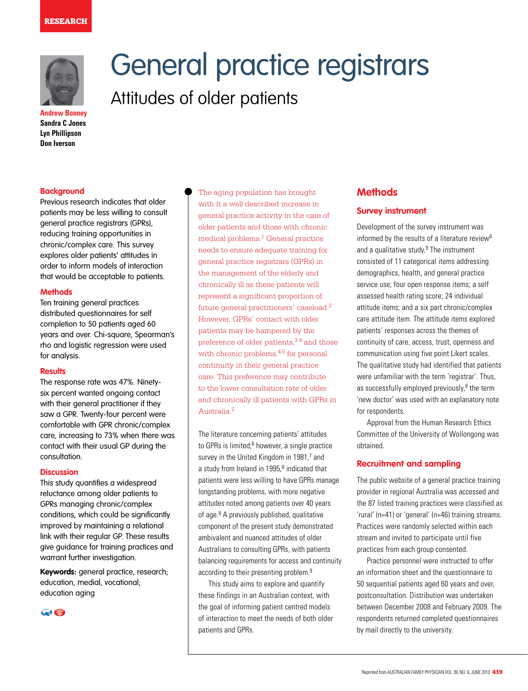

**Andrew Bonney Sandra C Jones Lyn Phillipson Don Iverson**

#### **Background**

Previous research indicates that older patients may be less willing to consult general practice registrars (GPRs), reducing training opportunities in chronic/complex care. This survey explores older patients' attitudes in order to inform models of interaction that would be acceptable to patients.

#### **Methods**

Ten training general practices distributed questionnaires for self completion to 50 patients aged 60 years and over. Chi-square, Spearman's rho and logistic regression were used for analysis.

#### **Results**

The response rate was 47%. Ninetysix percent wanted ongoing contact with their general practitioner if they saw a GPR. Twenty-four percent were comfortable with GPR chronic/complex care, increasing to 73% when there was contact with their usual GP during the consultation.

#### **Discussion**

This study quantifies a widespread reluctance among older patients to GPRs managing chronic/complex conditions, which could be significantly improved by maintaining a relational link with their regular GP. These results give guidance for training practices and warrant further investigation.

**Keywords:** general practice, research; education, medial, vocational; education aging



General practice registrars Attitudes of older patients

> The aging population has brought with it a well described increase in general practice activity in the care of older patients and those with chronic medical problems.1 General practice needs to ensure adequate training for general practice registrars (GPRs) in the management of the elderly and chronically ill as these patients will represent a significant proportion of future general practitioners' caseload.2 However, GPRs' contact with older patients may be hampered by the preference of older patients,3,4 and those with chronic problems,  $4,5$  for personal continuity in their general practice care. This preference may contribute to the lower consultation rate of older and chronically ill patients with GPRs in Australia.2

The literature concerning patients' attitudes to GPRs is limited;<sup>6</sup> however, a single practice survey in the United Kingdom in 1981,7 and a study from Ireland in 1995,<sup>8</sup> indicated that patients were less willing to have GPRs manage longstanding problems, with more negative attitudes noted among patients over 40 years of age.<sup>8</sup> A previously published, qualitative component of the present study demonstrated ambivalent and nuanced attitudes of older Australians to consulting GPRs, with patients balancing requirements for access and continuity according to their presenting problem.<sup>9</sup>

 This study aims to explore and quantify these findings in an Australian context, with the goal of informing patient centred models of interaction to meet the needs of both older patients and GPRs.

# **Methods**

#### **Survey instrument**

Development of the survey instrument was informed by the results of a literature review<sup>6</sup> and a qualitative study. $9$  The instrument consisted of 11 categorical items addressing demographics, health, and general practice service use; four open response items; a self assessed health rating score; 24 individual attitude items; and a six part chronic/complex care attitude item. The attitude items explored patients' responses across the themes of continuity of care, access, trust, openness and communication using five point Likert scales. The qualitative study had identified that patients were unfamiliar with the term 'registrar'. Thus, as successfully employed previously, $8$  the term 'new doctor' was used with an explanatory note for respondents.

Approval from the Human Research Ethics Committee of the University of Wollongong was obtained.

## **Recruitment and sampling**

The public website of a general practice training provider in regional Australia was accessed and the 87 listed training practices were classified as 'rural' (n=41) or 'general' (n=46) training streams. Practices were randomly selected within each stream and invited to participate until five practices from each group consented.

Practice personnel were instructed to offer an information sheet and the questionnaire to 50 sequential patients aged 60 years and over, postconsultation. Distribution was undertaken between December 2008 and February 2009. The respondents returned completed questionnaires by mail directly to the university.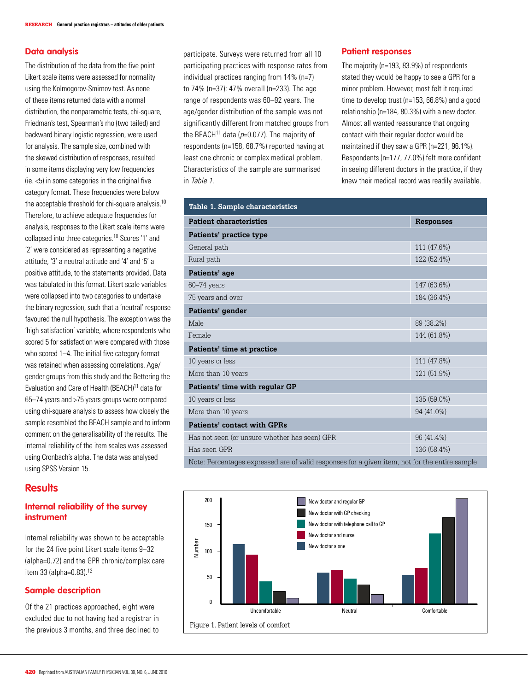## **Data analysis**

The distribution of the data from the five point Likert scale items were assessed for normality using the Kolmogorov-Smirnov test. As none of these items returned data with a normal distribution, the nonparametric tests, chi-square, Friedman's test, Spearman's rho (two tailed) and backward binary logistic regression, were used for analysis. The sample size, combined with the skewed distribution of responses, resulted in some items displaying very low frequencies (ie. <5) in some categories in the original five category format. These frequencies were below the acceptable threshold for chi-square analysis.10 Therefore, to achieve adequate frequencies for analysis, responses to the Likert scale items were collapsed into three categories.10 Scores '1' and '2' were considered as representing a negative attitude, '3' a neutral attitude and '4' and '5' a positive attitude, to the statements provided. Data was tabulated in this format. Likert scale variables were collapsed into two categories to undertake the binary regression, such that a 'neutral' response favoured the null hypothesis. The exception was the 'high satisfaction' variable, where respondents who scored 5 for satisfaction were compared with those who scored 1–4. The initial five category format was retained when assessing correlations. Age/ gender groups from this study and the Bettering the Evaluation and Care of Health (BEACH)<sup>11</sup> data for 65–74 years and >75 years groups were compared using chi-square analysis to assess how closely the sample resembled the BEACH sample and to inform comment on the generalisability of the results. The internal reliability of the item scales was assessed using Cronbach's alpha. The data was analysed using SPSS Version 15.

# **Results**

# **Internal reliability of the survey instrument**

Internal reliability was shown to be acceptable for the 24 five point Likert scale items 9–32 (alpha=0.72) and the GPR chronic/complex care item 33 (alpha=0.83).12

# **Sample description**

Of the 21 practices approached, eight were excluded due to not having had a registrar in the previous 3 months, and three declined to participate. Surveys were returned from all 10 participating practices with response rates from individual practices ranging from 14% (n=7) to 74% (n=37): 47% overall (n=233). The age range of respondents was 60–92 years. The age/gender distribution of the sample was not significantly different from matched groups from the BEACH<sup>11</sup> data ( $p=0.077$ ). The majority of respondents (n=158, 68.7%) reported having at least one chronic or complex medical problem. Characteristics of the sample are summarised in Table 1.

## **Patient responses**

The majority (n=193, 83.9%) of respondents stated they would be happy to see a GPR for a minor problem. However, most felt it required time to develop trust (n=153, 66.8%) and a good relationship (n=184, 80.3%) with a new doctor. Almost all wanted reassurance that ongoing contact with their regular doctor would be maintained if they saw a GPR (n=221, 96.1%). Respondents (n=177, 77.0%) felt more confident in seeing different doctors in the practice, if they knew their medical record was readily available.

| Table 1. Sample characteristics                                                                |                  |  |  |  |  |
|------------------------------------------------------------------------------------------------|------------------|--|--|--|--|
| <b>Patient characteristics</b>                                                                 | <b>Responses</b> |  |  |  |  |
| Patients' practice type                                                                        |                  |  |  |  |  |
| General path                                                                                   | 111 (47.6%)      |  |  |  |  |
| Rural path                                                                                     | 122 (52.4%)      |  |  |  |  |
| Patients' age                                                                                  |                  |  |  |  |  |
| 60-74 years                                                                                    | 147 (63.6%)      |  |  |  |  |
| 75 years and over                                                                              | 184 (36.4%)      |  |  |  |  |
| Patients' gender                                                                               |                  |  |  |  |  |
| Male                                                                                           | 89 (38.2%)       |  |  |  |  |
| Female                                                                                         | 144 (61.8%)      |  |  |  |  |
| Patients' time at practice                                                                     |                  |  |  |  |  |
| 10 years or less                                                                               | 111 (47.8%)      |  |  |  |  |
| More than 10 years                                                                             | 121 (51.9%)      |  |  |  |  |
| Patients' time with regular GP                                                                 |                  |  |  |  |  |
| 10 years or less                                                                               | 135 (59.0%)      |  |  |  |  |
| More than 10 years                                                                             | 94 (41.0%)       |  |  |  |  |
| <b>Patients' contact with GPRs</b>                                                             |                  |  |  |  |  |
| Has not seen (or unsure whether has seen) GPR                                                  | 96 (41.4%)       |  |  |  |  |
| Has seen GPR                                                                                   | 136 (58.4%)      |  |  |  |  |
| Note: Percentages expressed are of valid responses for a given item, not for the entire sample |                  |  |  |  |  |

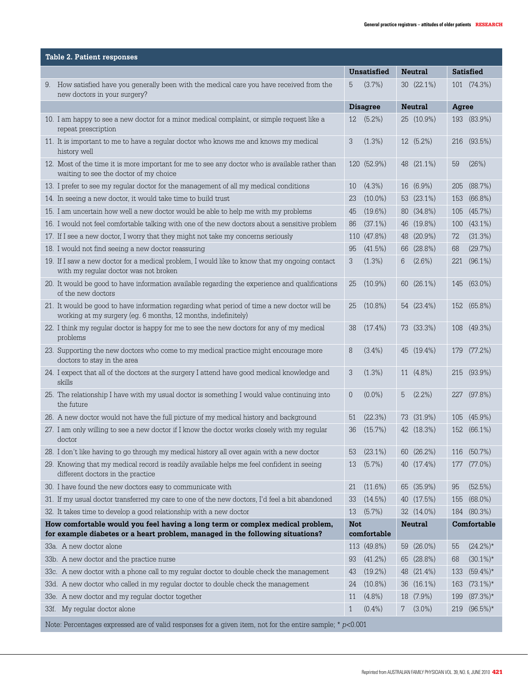| <b>Table 2. Patient responses</b>                                                                           |                                                                                                                                                                |                |                 |    |                         |     |                  |
|-------------------------------------------------------------------------------------------------------------|----------------------------------------------------------------------------------------------------------------------------------------------------------------|----------------|-----------------|----|-------------------------|-----|------------------|
|                                                                                                             |                                                                                                                                                                |                | Unsatisfied     |    | <b>Neutral</b>          |     | <b>Satisfied</b> |
|                                                                                                             | 9. How satisfied have you generally been with the medical care you have received from the<br>new doctors in your surgery?                                      | 5              | (3.7%)          |    | $30(22.1\%)$            |     | 101 (74.3%)      |
|                                                                                                             |                                                                                                                                                                |                | <b>Disagree</b> |    | <b>Neutral</b><br>Agree |     |                  |
|                                                                                                             | 10. I am happy to see a new doctor for a minor medical complaint, or simple request like a<br>repeat prescription                                              | 12             | $(5.2\%)$       |    | 25 (10.9%)              |     | 193 (83.9%)      |
|                                                                                                             | 11. It is important to me to have a regular doctor who knows me and knows my medical<br>history well                                                           | 3              | (1.3%)          |    | 12 (5.2%)               | 216 | $(93.5\%)$       |
|                                                                                                             | 12. Most of the time it is more important for me to see any doctor who is available rather than<br>waiting to see the doctor of my choice                      |                | 120 (52.9%)     |    | 48 (21.1%)              | 59  | (26%)            |
|                                                                                                             | 13. I prefer to see my regular doctor for the management of all my medical conditions                                                                          | 10             | $(4.3\%)$       |    | 16 (6.9%)               | 205 | (88.7%)          |
|                                                                                                             | 14. In seeing a new doctor, it would take time to build trust                                                                                                  | 23             | $(10.0\%)$      |    | 53 (23.1%)              | 153 | $(66.8\%)$       |
|                                                                                                             | 15. I am uncertain how well a new doctor would be able to help me with my problems                                                                             | 45             | $(19.6\%)$      |    | 80 (34.8%)              | 105 | (45.7%)          |
|                                                                                                             | 16. I would not feel comfortable talking with one of the new doctors about a sensitive problem                                                                 | 86             | $(37.1\%)$      |    | 46 (19.8%)              | 100 | $(43.1\%)$       |
|                                                                                                             | 17. If I see a new doctor, I worry that they might not take my concerns seriously                                                                              |                | 110 (47.8%)     | 48 | $(20.9\%)$              | 72  | (31.3%)          |
|                                                                                                             | 18. I would not find seeing a new doctor reassuring                                                                                                            | 95             | $(41.5\%)$      |    | 66 (28.8%)              | 68  | (29.7%)          |
|                                                                                                             | 19. If I saw a new doctor for a medical problem, I would like to know that my ongoing contact<br>with my regular doctor was not broken                         | 3              | $(1.3\%)$       | 6  | $(2.6\%)$               |     | 221 (96.1%)      |
|                                                                                                             | 20. It would be good to have information available regarding the experience and qualifications<br>of the new doctors                                           | 25             | $(10.9\%)$      |    | 60 (26.1%)              | 145 | $(63.0\%)$       |
|                                                                                                             | 21. It would be good to have information regarding what period of time a new doctor will be<br>working at my surgery (eg. 6 months, 12 months, indefinitely)   | 25             | $(10.8\%)$      |    | 54 (23.4%)              | 152 | (65.8%)          |
|                                                                                                             | 22. I think my regular doctor is happy for me to see the new doctors for any of my medical<br>problems                                                         | 38             | $(17.4\%)$      |    | 73 (33.3%)              | 108 | $(49.3\%)$       |
|                                                                                                             | 23. Supporting the new doctors who come to my medical practice might encourage more<br>doctors to stay in the area                                             | 8              | $(3.4\%)$       |    | 45 (19.4%)              | 179 | (77.2%)          |
|                                                                                                             | 24. I expect that all of the doctors at the surgery I attend have good medical knowledge and<br>skills                                                         | 3              | $(1.3\%)$       |    | 11 (4.8%)               | 215 | $(93.9\%)$       |
|                                                                                                             | 25. The relationship I have with my usual doctor is something I would value continuing into<br>the future                                                      | $\overline{0}$ | $(0.0\%)$       | 5  | $(2.2\%)$               | 227 | $(97.8\%)$       |
|                                                                                                             | 26. A new doctor would not have the full picture of my medical history and background                                                                          | 51             | (22.3%)         |    | 73 (31.9%)              | 105 | $(45.9\%)$       |
|                                                                                                             | 27. I am only willing to see a new doctor if I know the doctor works closely with my regular<br>doctor                                                         | 36             | (15.7%)         |    | 42 (18.3%)              |     | 152 (66.1%)      |
|                                                                                                             | 28. I don't like having to go through my medical history all over again with a new doctor                                                                      | $\sim$<br>ხკ   | $(23.1\%)$      |    | 60 (26.2%)              |     | 116 (50.7%)      |
|                                                                                                             | 29. Knowing that my medical record is readily available helps me feel confident in seeing<br>different doctors in the practice                                 | 13             | $(5.7\%)$       |    | 40 (17.4%)              | 177 | $(77.0\%)$       |
|                                                                                                             | 30. I have found the new doctors easy to communicate with                                                                                                      | 21             | $(11.6\%)$      |    | 65 (35.9%)              | 95  | (52.5%)          |
|                                                                                                             | 31. If my usual doctor transferred my care to one of the new doctors, I'd feel a bit abandoned                                                                 | 33             | $(14.5\%)$      |    | 40 (17.5%)              | 155 | $(68.0\%)$       |
|                                                                                                             | 32. It takes time to develop a good relationship with a new doctor                                                                                             | 13             | $(5.7\%)$       |    | 32 (14.0%)              |     | 184 (80.3%)      |
|                                                                                                             | How comfortable would you feel having a long term or complex medical problem,<br>for example diabetes or a heart problem, managed in the following situations? | <b>Not</b>     | comfortable     |    | <b>Neutral</b>          |     | Comfortable      |
|                                                                                                             | 33a. A new doctor alone                                                                                                                                        |                | 113 (49.8%)     | 59 | $(26.0\%)$              | 55  | $(24.2\%)^*$     |
|                                                                                                             | 33b. A new doctor and the practice nurse                                                                                                                       | 93             | $(41.2\%)$      |    | 65 (28.8%)              | 68  | $(30.1\%)*$      |
|                                                                                                             | 33c. A new doctor with a phone call to my regular doctor to double check the management                                                                        | 43             | $(19.2\%)$      | 48 | $(21.4\%)$              | 133 | $(59.4\%)*$      |
|                                                                                                             | 33d. A new doctor who called in my regular doctor to double check the management                                                                               | 24             | $(10.8\%)$      |    | 36 (16.1%)              | 163 | $(73.1\%)*$      |
|                                                                                                             | 33e. A new doctor and my regular doctor together                                                                                                               | 11             | $(4.8\%)$       |    | 18 (7.9%)               | 199 | $(87.3\%)*$      |
|                                                                                                             | 33f. My regular doctor alone                                                                                                                                   | $\mathbf{1}$   | $(0.4\%)$       | 7  | $(3.0\%)$               | 219 | $(96.5\%)*$      |
| Note: Percentages expressed are of valid responses for a given item, not for the entire sample; $* p<0.001$ |                                                                                                                                                                |                |                 |    |                         |     |                  |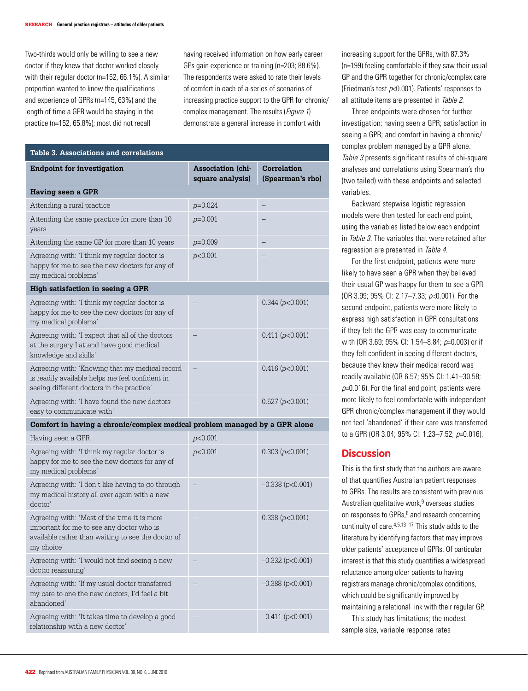Two-thirds would only be willing to see a new doctor if they knew that doctor worked closely with their regular doctor (n=152, 66.1%). A similar proportion wanted to know the qualifications and experience of GPRs (n=145, 63%) and the length of time a GPR would be staying in the practice (n=152, 65.8%); most did not recall

having received information on how early career GPs gain experience or training (n=203; 88.6%). The respondents were asked to rate their levels of comfort in each of a series of scenarios of increasing practice support to the GPR for chronic/ complex management. The results (*Figure 1*) demonstrate a general increase in comfort with

| <b>Table 3. Associations and correlations</b>                                                                                                                |                                              |                                        |  |  |  |  |  |
|--------------------------------------------------------------------------------------------------------------------------------------------------------------|----------------------------------------------|----------------------------------------|--|--|--|--|--|
| <b>Endpoint for investigation</b>                                                                                                                            | <b>Association</b> (chi-<br>square analysis) | <b>Correlation</b><br>(Spearman's rho) |  |  |  |  |  |
| Having seen a GPR                                                                                                                                            |                                              |                                        |  |  |  |  |  |
| Attending a rural practice                                                                                                                                   | $p=0.024$                                    |                                        |  |  |  |  |  |
| Attending the same practice for more than 10<br>years                                                                                                        | $p=0.001$                                    |                                        |  |  |  |  |  |
| Attending the same GP for more than 10 years                                                                                                                 | $p=0.009$                                    |                                        |  |  |  |  |  |
| Agreeing with: 'I think my regular doctor is<br>happy for me to see the new doctors for any of<br>my medical problems'                                       | p<0.001                                      |                                        |  |  |  |  |  |
| High satisfaction in seeing a GPR                                                                                                                            |                                              |                                        |  |  |  |  |  |
| Agreeing with: 'I think my regular doctor is<br>happy for me to see the new doctors for any of<br>my medical problems'                                       |                                              | 0.344 (p<0.001)                        |  |  |  |  |  |
| Agreeing with: 'I expect that all of the doctors<br>at the surgery I attend have good medical<br>knowledge and skills'                                       |                                              | 0.411 (p<0.001)                        |  |  |  |  |  |
| Agreeing with: 'Knowing that my medical record<br>is readily available helps me feel confident in<br>seeing different doctors in the practice'               |                                              | $0.416$ ( $p<0.001$ )                  |  |  |  |  |  |
| Agreeing with: 'I have found the new doctors<br>easy to communicate with'                                                                                    |                                              | 0.527 (p<0.001)                        |  |  |  |  |  |
| Comfort in having a chronic/complex medical problem managed by a GPR alone                                                                                   |                                              |                                        |  |  |  |  |  |
| Having seen a GPR                                                                                                                                            | p<0.001                                      |                                        |  |  |  |  |  |
| Agreeing with: 'I think my regular doctor is<br>happy for me to see the new doctors for any of<br>my medical problems'                                       | p<0.001                                      | 0.303 (p<0.001)                        |  |  |  |  |  |
| Agreeing with: 'I don't like having to go through<br>my medical history all over again with a new<br>doctor'                                                 |                                              | $-0.338$ ( $p<0.001$ )                 |  |  |  |  |  |
| Agreeing with: 'Most of the time it is more<br>important for me to see any doctor who is<br>available rather than waiting to see the doctor of<br>my choice' |                                              | 0.338 (p<0.001)                        |  |  |  |  |  |
| Agreeing with: 'I would not find seeing a new<br>doctor reassuring'                                                                                          |                                              | $-0.332(p<0.001)$                      |  |  |  |  |  |
| Agreeing with: 'If my usual doctor transferred<br>my care to one the new doctors, I'd feel a bit<br>abandoned'                                               |                                              | $-0.388$ ( $p<0.001$ )                 |  |  |  |  |  |
| Agreeing with: 'It takes time to develop a good<br>relationship with a new doctor'                                                                           |                                              | $-0.411 (p<0.001)$                     |  |  |  |  |  |

increasing support for the GPRs, with 87.3% (n=199) feeling comfortable if they saw their usual GP and the GPR together for chronic/complex care (Friedman's test  $p<0.001$ ). Patients' responses to all attitude items are presented in Table 2.

 Three endpoints were chosen for further investigation: having seen a GPR; satisfaction in seeing a GPR; and comfort in having a chronic/ complex problem managed by a GPR alone. Table 3 presents significant results of chi-square analyses and correlations using Spearman's rho (two tailed) with these endpoints and selected variables.

Backward stepwise logistic regression models were then tested for each end point, using the variables listed below each endpoint in Table 3. The variables that were retained after regression are presented in Table 4.

For the first endpoint, patients were more likely to have seen a GPR when they believed their usual GP was happy for them to see a GPR (OR 3.99; 95% CI: 2.17–7.33; p<0.001). For the second endpoint, patients were more likely to express high satisfaction in GPR consultations if they felt the GPR was easy to communicate with (OR 3.69; 95% CI: 1.54-8.84; p=0.003) or if they felt confident in seeing different doctors, because they knew their medical record was readily available (OR 6.57; 95% CI: 1.41–30.58;  $p=0.016$ ). For the final end point, patients were more likely to feel comfortable with independent GPR chronic/complex management if they would not feel 'abandoned' if their care was transferred to a GPR (OR 3.04; 95% CI: 1.23–7.52; p=0.016).

# **Discussion**

This is the first study that the authors are aware of that quantifies Australian patient responses to GPRs. The results are consistent with previous Australian qualitative work,<sup>9</sup> overseas studies on responses to GPRs,<sup>6</sup> and research concerning continuity of care.4,5,13–17 This study adds to the literature by identifying factors that may improve older patients' acceptance of GPRs. Of particular interest is that this study quantifies a widespread reluctance among older patients to having registrars manage chronic/complex conditions, which could be significantly improved by maintaining a relational link with their regular GP.

 This study has limitations; the modest sample size, variable response rates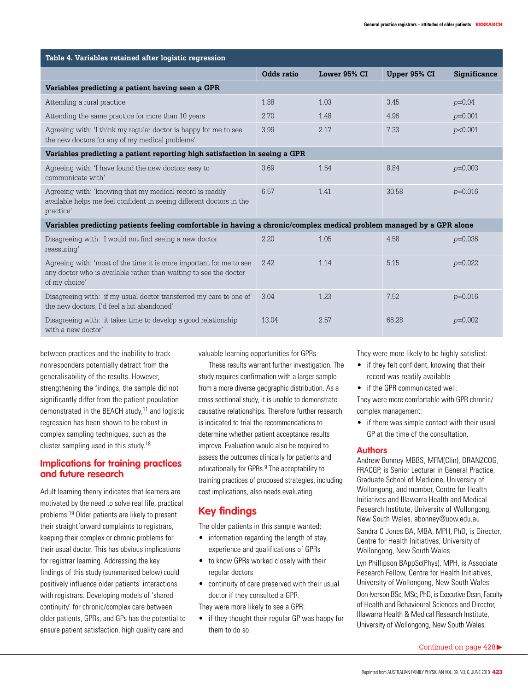| Table 4. Variables retained after logistic regression                                                                                                     |            |              |              |              |  |  |  |  |  |  |
|-----------------------------------------------------------------------------------------------------------------------------------------------------------|------------|--------------|--------------|--------------|--|--|--|--|--|--|
|                                                                                                                                                           | Odds ratio | Lower 95% CI | Upper 95% CI | Significance |  |  |  |  |  |  |
| Variables predicting a patient having seen a GPR                                                                                                          |            |              |              |              |  |  |  |  |  |  |
| Attending a rural practice                                                                                                                                | 1.88       | 1.03         | 3.45         | $p=0.04$     |  |  |  |  |  |  |
| Attending the same practice for more than 10 years                                                                                                        | 2.70       | 1.48         | 4.96         | $p=0.001$    |  |  |  |  |  |  |
| Agreeing with: 'I think my regular doctor is happy for me to see<br>the new doctors for any of my medical problems'                                       | 3.99       | 2.17         | 7.33         | p<0.001      |  |  |  |  |  |  |
| Variables predicting a patient reporting high satisfaction in seeing a GPR                                                                                |            |              |              |              |  |  |  |  |  |  |
| Agreeing with: 'I have found the new doctors easy to<br>communicate with'                                                                                 | 3.69       | 1.54         | 8.84         | $p=0.003$    |  |  |  |  |  |  |
| Agreeing with: 'knowing that my medical record is readily<br>available helps me feel confident in seeing different doctors in the<br>practice'            | 6.57       | 1.41         | 30.58        | $p=0.016$    |  |  |  |  |  |  |
| Variables predicting patients feeling comfortable in having a chronic/complex medical problem managed by a GPR alone                                      |            |              |              |              |  |  |  |  |  |  |
| Disagreeing with: 'I would not find seeing a new doctor<br>reassuring'                                                                                    | 2.20       | 1.05         | 4.58         | $p=0.036$    |  |  |  |  |  |  |
| Agreeing with: 'most of the time it is more important for me to see<br>any doctor who is available rather than waiting to see the doctor<br>of my choice' | 2.42       | 1.14         | 5.15         | $p=0.022$    |  |  |  |  |  |  |
| Disagreeing with: 'if my usual doctor transferred my care to one of<br>the new doctors, I'd feel a bit abandoned'                                         | 3.04       | 1.23         | 7.52         | $p=0.016$    |  |  |  |  |  |  |
| Disagreeing with: 'it takes time to develop a good relationship                                                                                           | 13.04      | 2.57         | 66.28        | $p=0.002$    |  |  |  |  |  |  |

Disagreeing with: 'it takes time to develop a good relationship with a new doctor'

between practices and the inability to track nonresponders potentially detract from the generalisability of the results. However, strengthening the findings, the sample did not significantly differ from the patient population demonstrated in the BEACH study,<sup>11</sup> and logistic regression has been shown to be robust in complex sampling techniques, such as the cluster sampling used in this study.18

# **Implications for training practices and future research**

Adult learning theory indicates that learners are motivated by the need to solve real life, practical problems.19 Older patients are likely to present their straightforward complaints to registrars, keeping their complex or chronic problems for their usual doctor. This has obvious implications for registrar learning. Addressing the key findings of this study (summarised below) could positively influence older patients' interactions with registrars. Developing models of 'shared continuity' for chronic/complex care between older patients, GPRs, and GPs has the potential to ensure patient satisfaction, high quality care and

valuable learning opportunities for GPRs.

 These results warrant further investigation. The study requires confirmation with a larger sample from a more diverse geographic distribution. As a cross sectional study, it is unable to demonstrate causative relationships. Therefore further research is indicated to trial the recommendations to determine whether patient acceptance results improve. Evaluation would also be required to assess the outcomes clinically for patients and educationally for GPRs.<sup>9</sup> The acceptability to training practices of proposed strategies, including cost implications, also needs evaluating.

# **Key findings**

The older patients in this sample wanted:

- information regarding the length of stay, experience and qualifications of GPRs
- to know GPRs worked closely with their regular doctors
- continuity of care preserved with their usual doctor if they consulted a GPR.

They were more likely to see a GPR:

• if they thought their regular GP was happy for them to do so.

They were more likely to be highly satisfied:

- if they felt confident, knowing that their record was readily available
- if the GPR communicated well.

They were more comfortable with GPR chronic/ complex management:

• if there was simple contact with their usual GP at the time of the consultation.

## **Authors**

Andrew Bonney MBBS, MFM(Clin), DRANZCOG, FRACGP, is Senior Lecturer in General Practice, Graduate School of Medicine, University of Wollongong, and member, Centre for Health Initiatives and Illawarra Health and Medical Research Institute, University of Wollongong, New South Wales. abonney@uow.edu.au

Sandra C Jones BA, MBA, MPH, PhD, is Director, Centre for Health Initiatives, University of Wollongong, New South Wales

Lyn Phillipson BAppSc(Phys), MPH, is Associate Research Fellow, Centre for Health Initiatives, University of Wollongong, New South Wales Don Iverson BSc, MSc, PhD, is Executive Dean, Faculty of Health and Behavioural Sciences and Director, Illawarra Health & Medical Research Institute, University of Wollongong, New South Wales.